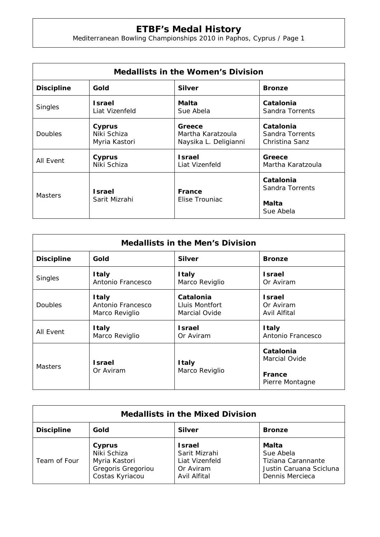## **ETBF's Medal History**

Mediterranean Bowling Championships 2010 in Paphos, Cyprus / Page 1

| <b>Medallists in the Women's Division</b> |                                |                          |                                                    |  |  |
|-------------------------------------------|--------------------------------|--------------------------|----------------------------------------------------|--|--|
| <b>Discipline</b>                         | Gold                           | <b>Silver</b>            | <b>Bronze</b>                                      |  |  |
| <b>Singles</b>                            | <b>Israel</b>                  | Malta                    | Catalonia                                          |  |  |
|                                           | Liat Vizenfeld                 | Sue Abela                | Sandra Torrents                                    |  |  |
| <b>Doubles</b>                            | Cyprus                         | Greece                   | Catalonia                                          |  |  |
|                                           | Niki Schiza                    | Martha Karatzoula        | Sandra Torrents                                    |  |  |
|                                           | Myria Kastori                  | Naysika L. Deligianni    | Christina Sanz                                     |  |  |
| All Event                                 | Cyprus                         | <b>Israel</b>            | Greece                                             |  |  |
|                                           | Niki Schiza                    | Liat Vizenfeld           | Martha Karatzoula                                  |  |  |
| <b>Masters</b>                            | <b>Israel</b><br>Sarit Mizrahi | France<br>Elise Trouniac | Catalonia<br>Sandra Torrents<br>Malta<br>Sue Abela |  |  |

| <b>Medallists in the Men's Division</b> |                                                     |                                              |                                            |  |  |
|-----------------------------------------|-----------------------------------------------------|----------------------------------------------|--------------------------------------------|--|--|
| <b>Discipline</b>                       | Gold                                                | <b>Silver</b>                                | <b>Bronze</b>                              |  |  |
| <b>Singles</b>                          | <b>Italy</b><br>Antonio Francesco                   | <b>Italy</b><br>Marco Reviglio               | <b>Israel</b><br>Or Aviram                 |  |  |
| <b>Doubles</b>                          | <b>Italy</b><br>Antonio Francesco<br>Marco Reviglio | Catalonia<br>Lluis Montfort<br>Marcial Ovide | <b>Israel</b><br>Or Aviram<br>Avil Alfital |  |  |
| All Event                               | <b>Italy</b><br>Marco Reviglio                      | <b>Israel</b><br>Or Aviram                   | <b>Italy</b><br>Antonio Francesco          |  |  |
| <b>Masters</b>                          | <b>Israel</b><br>Or Aviram                          | <b>Italy</b><br>Marco Reviglio               | Catalonia<br>Marcial Ovide                 |  |  |
|                                         |                                                     |                                              | France<br>Pierre Montagne                  |  |  |

| <b>Medallists in the Mixed Division</b> |                                                                                 |                                                                        |                                                                                        |  |  |  |
|-----------------------------------------|---------------------------------------------------------------------------------|------------------------------------------------------------------------|----------------------------------------------------------------------------------------|--|--|--|
| <b>Discipline</b>                       | Gold                                                                            | <b>Silver</b>                                                          | <b>Bronze</b>                                                                          |  |  |  |
| Team of Four                            | Cyprus<br>Niki Schiza<br>Myria Kastori<br>Gregoris Gregoriou<br>Costas Kyriacou | Israel<br>Sarit Mizrahi<br>Liat Vizenfeld<br>Or Aviram<br>Avil Alfital | Malta<br>Sue Abela<br>Tiziana Carannante<br>Justin Caruana Scicluna<br>Dennis Mercieca |  |  |  |